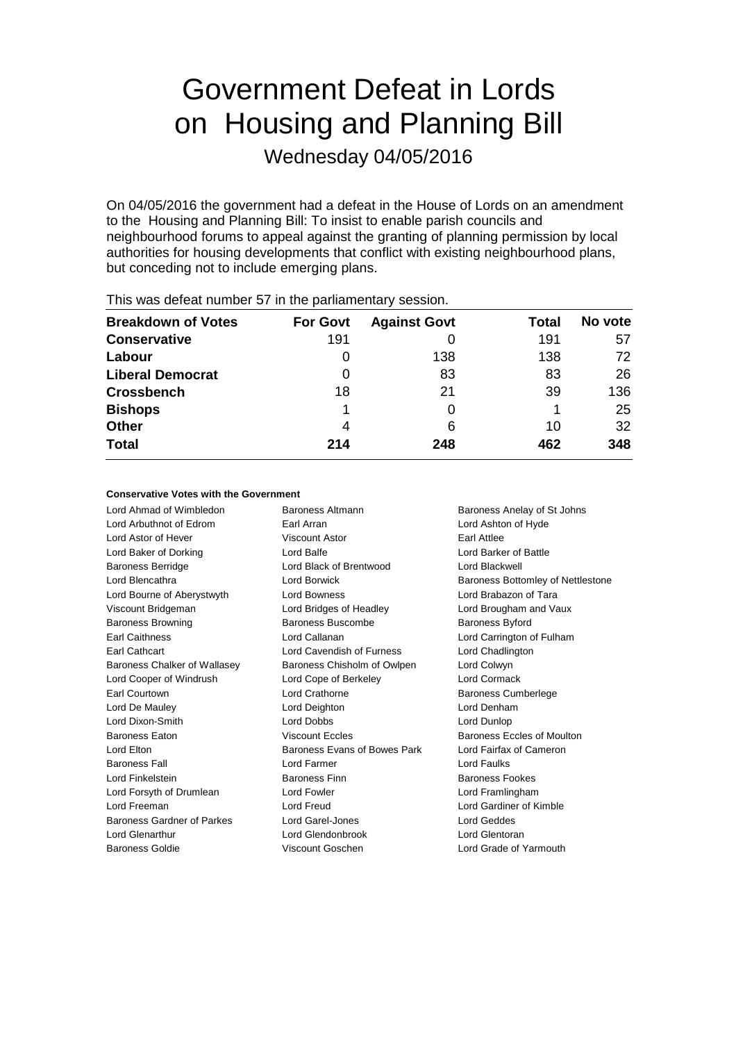# Government Defeat in Lords on Housing and Planning Bill

Wednesday 04/05/2016

On 04/05/2016 the government had a defeat in the House of Lords on an amendment to the Housing and Planning Bill: To insist to enable parish councils and neighbourhood forums to appeal against the granting of planning permission by local authorities for housing developments that conflict with existing neighbourhood plans, but conceding not to include emerging plans.

| <b>Breakdown of Votes</b> | <b>For Govt</b> | <b>Against Govt</b> | Total | No vote |
|---------------------------|-----------------|---------------------|-------|---------|
| <b>Conservative</b>       | 191             |                     | 191   | 57      |
| Labour                    | O               | 138                 | 138   | 72      |
| <b>Liberal Democrat</b>   | O               | 83                  | 83    | 26      |
| <b>Crossbench</b>         | 18              | 21                  | 39    | 136     |
| <b>Bishops</b>            |                 |                     |       | 25      |
| <b>Other</b>              | 4               | 6                   | 10    | 32      |
| <b>Total</b>              | 214             | 248                 | 462   | 348     |
|                           |                 |                     |       |         |

This was defeat number 57 in the parliamentary session.

#### **Conservative Votes with the Government**

Lord Ahmad of Wimbledon Baroness Altmann Baroness Anelay of St Johns Lord Arbuthnot of Edrom Earl Arran Lord Ashton of Hyde Lord Astor of Hever Viscount Astor Earl Attlee Lord Baker of Dorking Lord Balfe Lord Barker of Battle Baroness Berridge Lord Black of Brentwood Lord Blackwell Lord Blencathra **Lord Borwick** Baroness Bottomley of Nettlestone Lord Bourne of Aberystwyth **Lord Bowness Lord Brabazon of Tara** Viscount Bridgeman Lord Bridges of Headley Lord Brougham and Vaux Baroness Browning **Baroness Buscombe** Baroness Baroness Byford Earl Caithness Lord Callanan Lord Carrington of Fulham Earl Cathcart Lord Cavendish of Furness Lord Chadlington Baroness Chalker of Wallasey Baroness Chisholm of Owlpen Lord Colwyn Lord Cooper of Windrush Lord Cope of Berkeley Lord Cormack Earl Courtown **Lord Crathorne Earl Courtown** Baroness Cumberlege Lord De Mauley Lord Deighton Lord Denham Lord Dixon-Smith Lord Dobbs Lord Dunlop Baroness Eaton **Example 20 Server Eccles** Baroness Eccles of Moulton Baroness Eccles of Moulton Lord Elton **Baroness Evans of Bowes Park** Lord Fairfax of Cameron Baroness Fall Lord Farmer Lord Faulks Lord Finkelstein Baroness Finn Baroness Fookes Lord Forsyth of Drumlean Lord Fowler Lord Formula Lord Framlingham Lord Freeman Lord Freud Lord Gardiner of Kimble Baroness Gardner of Parkes Lord Garel-Jones Lord Geddes Lord Glenarthur Lord Glendonbrook Lord Glentoran

Baroness Goldie Viscount Goschen Lord Grade of Yarmouth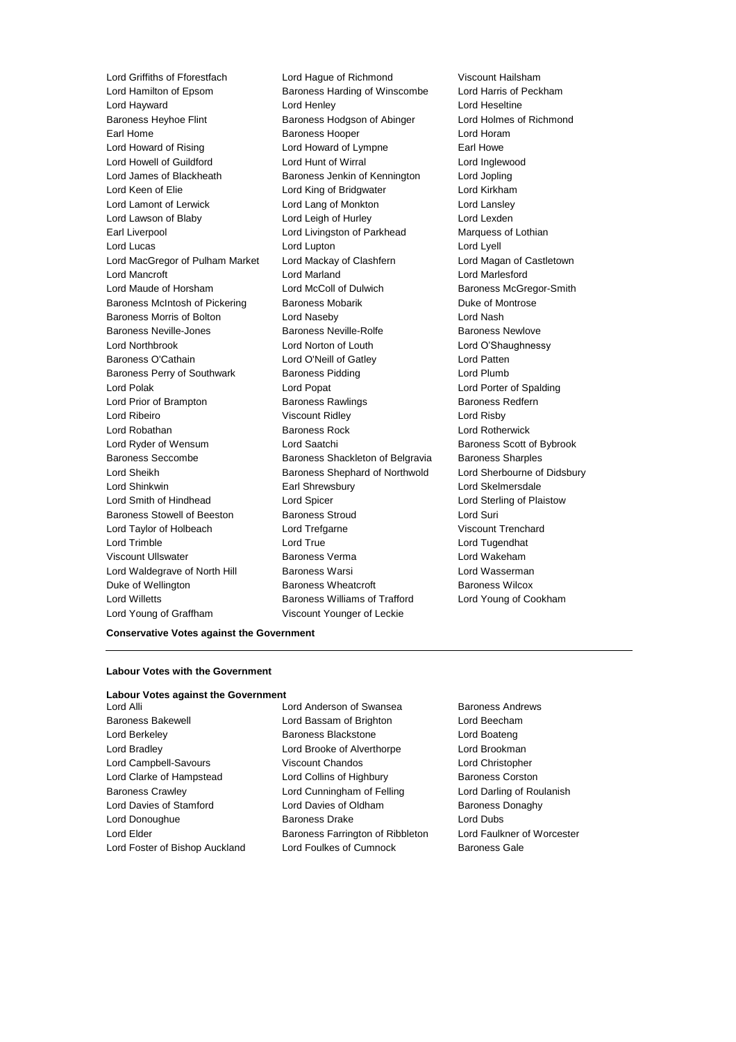Lord Hamilton of Epsom Baroness Harding of Winscombe Lord Hayward Lord Henley Lord Heseltine Baroness Heyhoe Flint **Baroness Hodgson of Abinger** Lord Holmes of Richmond Earl Home **Baroness Hooper Baroness Hooper Lord Horam** Lord Howard of Rising **Lord Howard of Lympne** Earl Howe Lord Howell of Guildford Lord Hunt of Wirral Lord Inglewood Lord James of Blackheath Baroness Jenkin of Kennington Lord Jopling Lord Keen of Elie Lord King of Bridgwater Lord Kirkham Lord Lamont of Lerwick Lord Lang of Monkton Lord Lansley Lord Lawson of Blaby Lord Leigh of Hurley Lord Lexden Earl Liverpool Lord Livingston of Parkhead Marquess of Lothian Lord Lucas Lord Lupton Lord Lyell Lord MacGregor of Pulham Market Lord Mackay of Clashfern Lord Magan of Castletown Lord Mancroft Lord Marland Lord Marlesford Lord Maude of Horsham Lord McColl of Dulwich Baroness McGregor-Smith Baroness McIntosh of Pickering Baroness Mobarik Baroness Mobarick Duke of Montrose Baroness Morris of Bolton **Lord Naseby** Lord Nash Lord Nash Baroness Neville-Jones **Baroness Newlowe** Baroness Newlove Baroness Newlove Lord Northbrook Lord Norton of Louth Lord O'Shaughnessy Baroness O'Cathain Lord O'Neill of Gatley Lord Patten Baroness Perry of Southwark Baroness Pidding Controller and Plumb Lord Polak Lord Popat Lord Porter of Spalding Lord Prior of Brampton **Baroness Rawlings** Baroness Redfern Lord Ribeiro Viscount Ridley Lord Risby Lord Robathan Baroness Rock Lord Rotherwick Lord Ryder of Wensum **Lord Saatchi** Baroness Scott of Bybrook Baroness Seccombe Baroness Shackleton of Belgravia Baroness Sharples Lord Sheikh **Baroness Shephard of Northwold** Lord Sherbourne of Didsbury Lord Shinkwin Earl Shrewsbury Lord Skelmersdale Lord Smith of Hindhead Lord Spicer Lord Sterling of Plaistow Baroness Stowell of Beeston Baroness Stroud Lord Suri Lord Taylor of Holbeach Lord Trefgarne Viscount Trenchard Lord Trimble Lord True Lord Tugendhat Viscount Ullswater Baroness Verma Lord Wakeham Lord Waldegrave of North Hill Baroness Warsi **Lord Wasserman** Duke of Wellington **Baroness Wheatcroft** Baroness Wheatcroft Baroness Wilcox Lord Willetts Baroness Williams of Trafford Lord Young of Cookham Lord Young of Graffham Viscount Younger of Leckie

Lord Griffiths of Fforestfach Lord Hague of Richmond Viscount Hailsham<br>
Lord Hamilton of Epsom Baroness Harding of Winscombe Lord Harris of Peckham

#### **Conservative Votes against the Government**

#### **Labour Votes with the Government**

#### **Labour Votes against the Government**

Lord Alli Lord Anderson of Swansea Baroness Andrews Baroness Bakewell Lord Bassam of Brighton Lord Beecham Lord Berkeley Baroness Blackstone Lord Boateng Lord Bradley Lord Brooke of Alverthorpe Lord Brookman Lord Campbell-Savours Viscount Chandos Lord Christopher Lord Clarke of Hampstead Lord Collins of Highbury Baroness Corston Baroness Crawley **Lord Cunningham of Felling Carol** Lord Darling of Roulanish Lord Davies of Stamford **Lord Davies of Oldham** Baroness Donaghy Lord Donoughue Baroness Drake Lord Dubs Lord Elder **Baroness Farrington of Ribbleton** Lord Faulkner of Worcester Lord Foster of Bishop Auckland Lord Foulkes of Cumnock Baroness Gale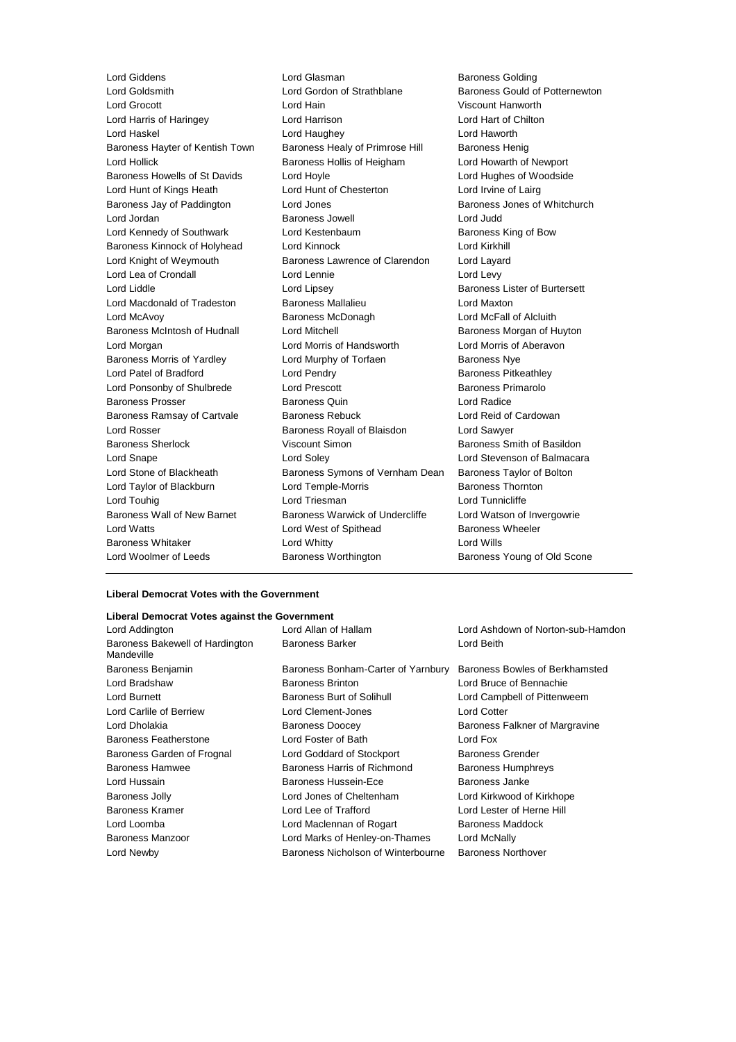Lord Giddens **Lord Glasman** Lord Glasman Baroness Golding<br>
Lord Goldsmith **Baroness Could of Strathblane** Baroness Gould of Lord Grocott Lord Hain Viscount Hanworth Lord Harris of Haringey Lord Harrison Lord Hart of Chilton Lord Haskel Lord Haughey Lord Haworth Baroness Hayter of Kentish Town Baroness Healy of Primrose Hill Baroness Henig Lord Hollick Baroness Hollis of Heigham Lord Howarth of Newport Baroness Howells of St Davids Lord Hoyle Lord Hughes of Woodside Lord Hunt of Kings Heath Lord Hunt of Chesterton Lord Irvine of Lairg Baroness Jay of Paddington **Lord Jones** Baroness Jones of Whitchurch Lord Jordan Baroness Jowell Lord Judd Lord Kennedy of Southwark Lord Kestenbaum **Baroness King of Bow** Baroness Kinnock of Holyhead Lord Kinnock Lord Kirkhill Lord Knight of Weymouth Baroness Lawrence of Clarendon Lord Layard Lord Lea of Crondall **Lord Lennie** Lord Levy Lord Liddle **Lord Lipsey** Lord Lipsey **Baroness Lister of Burtersett** Lord Macdonald of Tradeston Baroness Mallalieu Lord Maxton Lord McAvoy Baroness McDonagh Lord McFall of Alcluith Baroness McIntosh of Hudnall Lord Mitchell **Baroness Morgan of Huyton** Lord Morgan Lord Morris of Handsworth Lord Morris of Aberavon Baroness Morris of Yardley **Lord Murphy of Torfaen** Baroness Nye Lord Patel of Bradford **Lord Pendry Community** Baroness Pitkeathley Lord Ponsonby of Shulbrede Lord Prescott Baroness Primarolo Baroness Prosser Baroness Quin Lord Radice Baroness Ramsay of Cartvale Baroness Rebuck Lord Reid of Cardowan Lord Rosser **Baroness Royall of Blaisdon** Lord Sawyer Baroness Sherlock Viscount Simon Baroness Smith of Basildon Lord Snape Lord Soley Lord Stevenson of Balmacara Lord Stone of Blackheath Baroness Symons of Vernham Dean Baroness Taylor of Bolton Lord Taylor of Blackburn **Lord Temple-Morris** Baroness Thornton Lord Touhig Lord Triesman Lord Tunnicliffe Baroness Wall of New Barnet Baroness Warwick of Undercliffe Lord Watson of Invergowrie Lord Watts **Lord West of Spithead** Baroness Wheeler Baroness Whitaker **Lord Whitty** Lord Whitty **Lord Wills** Lord Woolmer of Leeds **Baroness Worthington** Baroness Young of Old Scone

Baroness Gould of Potternewton

#### **Liberal Democrat Votes with the Government**

#### **Liberal Democrat Votes against the Government**

| Lord Addington                                | Lord Allan of Hallam                           | Lord Ashdown of Norton-sub-Hamdon |  |
|-----------------------------------------------|------------------------------------------------|-----------------------------------|--|
| Baroness Bakewell of Hardington<br>Mandeville | <b>Baroness Barker</b>                         | Lord Beith                        |  |
| Baroness Benjamin                             | Baroness Bonham-Carter of Yarnbury             | Baroness Bowles of Berkhamsted    |  |
| Lord Bradshaw                                 | <b>Baroness Brinton</b>                        | Lord Bruce of Bennachie           |  |
| Lord Burnett                                  | Baroness Burt of Solihull                      | Lord Campbell of Pittenweem       |  |
| Lord Carlile of Berriew                       | Lord Clement-Jones                             | <b>Lord Cotter</b>                |  |
| Lord Dholakia                                 | <b>Baroness Doocey</b>                         | Baroness Falkner of Margravine    |  |
| <b>Baroness Featherstone</b>                  | Lord Foster of Bath                            | Lord Fox                          |  |
| Baroness Garden of Frognal                    | Lord Goddard of Stockport                      | Baroness Grender                  |  |
| Baroness Hamwee                               | Baroness Harris of Richmond                    | <b>Baroness Humphreys</b>         |  |
| Lord Hussain                                  | <b>Baroness Hussein-Ece</b>                    | Baroness Janke                    |  |
| <b>Baroness Jolly</b>                         | Lord Jones of Cheltenham                       | Lord Kirkwood of Kirkhope         |  |
| <b>Baroness Kramer</b>                        | Lord Lee of Trafford                           | Lord Lester of Herne Hill         |  |
| Lord Loomba                                   | Lord Maclennan of Rogart                       | Baroness Maddock                  |  |
| <b>Baroness Manzoor</b>                       | Lord Marks of Henley-on-Thames<br>Lord McNally |                                   |  |
| Lord Newby                                    | Baroness Nicholson of Winterbourne             | <b>Baroness Northover</b>         |  |
|                                               |                                                |                                   |  |